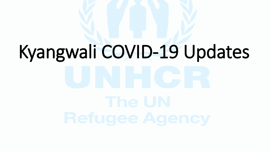# Kyangwali COVID-19 Updates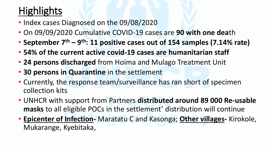## **Highlights**

- Index cases Diagnosed on the 09/08/2020
- On 09/09/2020 Cumulative COVID-19 cases are **90 with one dea**th
- **September 7th – 9 th: 11 positive cases out of 154 samples (7.14% rate)**
- **54% of the current active covid-19 cases are humanitarian staff**
- **24 persons discharged** from Hoima and Mulago Treatment Unit
- **30 persons in Quarantine** in the settlement
- Currently, the response team/surveillance has ran short of specimen collection kits
- UNHCR with support from Partners **distributed around 89 000 Re-usable masks** to all eligible POCs in the settlement' distribution will continue
- **Epicenter of Infection-** Maratatu C and Kasonga; **Other villages-** Kirokole, Mukarange, Kyebitaka,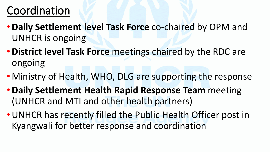### Coordination

- •**Daily Settlement level Task Force** co-chaired by OPM and UNHCR is ongoing
- •**District level Task Force** meetings chaired by the RDC are ongoing
- Ministry of Health, WHO, DLG are supporting the response
- •**Daily Settlement Health Rapid Response Team** meeting (UNHCR and MTI and other health partners)
- •UNHCR has recently filled the Public Health Officer post in Kyangwali for better response and coordination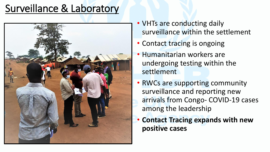### Surveillance & Laboratory



- VHTs are conducting daily surveillance within the settlement
- Contact tracing is ongoing
- Humanitarian workers are undergoing testing within the settlement
- RWCs are supporting community surveillance and reporting new arrivals from Congo- COVID-19 cases among the leadership
- **Contact Tracing expands with new positive cases**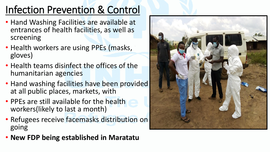## Infection Prevention & Control

- Hand Washing Facilities are available at entrances of health facilities, as well as screening
- Health workers are using PPEs (masks, gloves)
- Health teams disinfect the offices of the humanitarian agencies
- Hand washing facilities have been provided at all public places, markets, with
- PPEs are still available for the health workers(likely to last a month)
- Refugees receive facemasks distribution on going
- **New FDP being established in Maratatu**

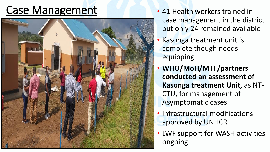### Case Management • 41 Health workers trained in



- case management in the district but only 24 remained available
- Kasonga treatment unit is complete though needs equipping
- **WHO/MoH/MTI /partners conducted an assessment of Kasonga treatment Unit**, as NT-CTU, for management of Asymptomatic cases
- Infrastructural modifications approved by UNHCR
- LWF support for WASH activities ongoing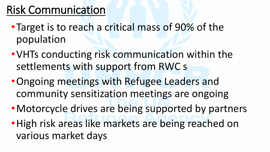## Risk Communication

- •Target is to reach a critical mass of 90% of the population
- •VHTs conducting risk communication within the settlements with support from RWC s
- •Ongoing meetings with Refugee Leaders and community sensitization meetings are ongoing
- •Motorcycle drives are being supported by partners •High risk areas like markets are being reached on various market days